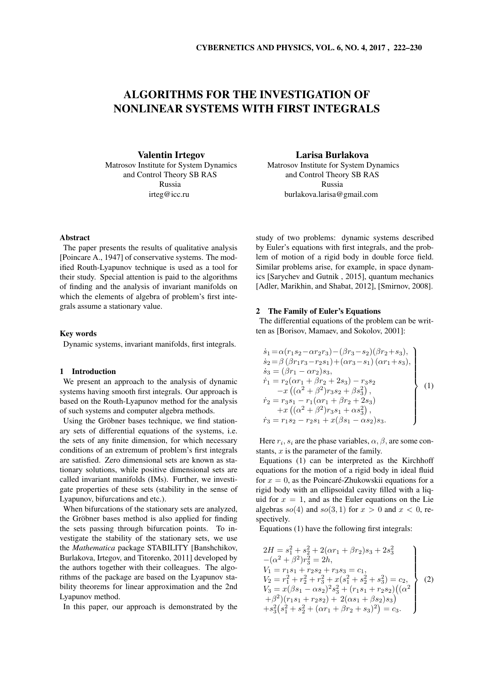# ALGORITHMS FOR THE INVESTIGATION OF NONLINEAR SYSTEMS WITH FIRST INTEGRALS

Valentin Irtegov Matrosov Institute for System Dynamics and Control Theory SB RAS Russia irteg@icc.ru

## Abstract

The paper presents the results of qualitative analysis [Poincare A., 1947] of conservative systems. The modified Routh-Lyapunov technique is used as a tool for their study. Special attention is paid to the algorithms of finding and the analysis of invariant manifolds on which the elements of algebra of problem's first integrals assume a stationary value.

## Key words

Dynamic systems, invariant manifolds, first integrals.

## 1 Introduction

We present an approach to the analysis of dynamic systems having smooth first integrals. Our approach is based on the Routh-Lyapunov method for the analysis of such systems and computer algebra methods.

Using the Gröbner bases technique, we find stationary sets of differential equations of the systems, i.e. the sets of any finite dimension, for which necessary conditions of an extremum of problem's first integrals are satisfied. Zero dimensional sets are known as stationary solutions, while positive dimensional sets are called invariant manifolds (IMs). Further, we investigate properties of these sets (stability in the sense of Lyapunov, bifurcations and etc.).

When bifurcations of the stationary sets are analyzed, the Gröbner bases method is also applied for finding the sets passing through bifurcation points. To investigate the stability of the stationary sets, we use the *Mathematica* package STABILITY [Banshchikov, Burlakova, Irtegov, and Titorenko, 2011] developed by the authors together with their colleagues. The algorithms of the package are based on the Lyapunov stability theorems for linear approximation and the 2nd Lyapunov method.

In this paper, our approach is demonstrated by the

Larisa Burlakova

Matrosov Institute for System Dynamics and Control Theory SB RAS Russia burlakova.larisa@gmail.com

study of two problems: dynamic systems described by Euler's equations with first integrals, and the problem of motion of a rigid body in double force field. Similar problems arise, for example, in space dynamics [Sarychev and Gutnik , 2015], quantum mechanics [Adler, Marikhin, and Shabat, 2012], [Smirnov, 2008].

## 2 The Family of Euler's Equations

The differential equations of the problem can be written as [Borisov, Mamaev, and Sokolov, 2001]:

$$
\dot{s}_1 = \alpha (r_1 s_2 - \alpha r_2 r_3) - (\beta r_3 - s_2)(\beta r_2 + s_3),
$$
\n
$$
\dot{s}_2 = \beta (\beta r_1 r_3 - r_2 s_1) + (\alpha r_3 - s_1) (\alpha r_1 + s_3),
$$
\n
$$
\dot{s}_3 = (\beta r_1 - \alpha r_2) s_3,
$$
\n
$$
\dot{r}_1 = r_2 (\alpha r_1 + \beta r_2 + 2s_3) - r_3 s_2
$$
\n
$$
-x ((\alpha^2 + \beta^2) r_3 s_2 + \beta s_3^2),
$$
\n
$$
\dot{r}_2 = r_3 s_1 - r_1 (\alpha r_1 + \beta r_2 + 2s_3)
$$
\n
$$
+x ((\alpha^2 + \beta^2) r_3 s_1 + \alpha s_3^2),
$$
\n
$$
\dot{r}_3 = r_1 s_2 - r_2 s_1 + x (\beta s_1 - \alpha s_2) s_3.
$$
\n(1)

Here  $r_i$ ,  $s_i$  are the phase variables,  $\alpha$ ,  $\beta$ , are some constants, *x* is the parameter of the family.

Equations (1) can be interpreted as the Kirchhoff equations for the motion of a rigid body in ideal fluid for  $x = 0$ , as the Poincaré-Zhukowskii equations for a rigid body with an ellipsoidal cavity filled with a liquid for  $x = 1$ , and as the Euler equations on the Lie algebras  $so(4)$  and  $so(3,1)$  for  $x > 0$  and  $x < 0$ , respectively.

Equations (1) have the following first integrals:

$$
2H = s_1^2 + s_2^2 + 2(\alpha r_1 + \beta r_2)s_3 + 2s_3^2
$$
  
\n
$$
-(\alpha^2 + \beta^2)r_3^2 = 2h,
$$
  
\n
$$
V_1 = r_1s_1 + r_2s_2 + r_3s_3 = c_1,
$$
  
\n
$$
V_2 = r_1^2 + r_2^2 + r_3^2 + x(s_1^2 + s_2^2 + s_3^2) = c_2,
$$
  
\n
$$
V_3 = x(\beta s_1 - \alpha s_2)^2 s_3^2 + (r_1s_1 + r_2s_2)((\alpha^2 + \beta^2)(r_1s_1 + r_2s_2) + 2(\alpha s_1 + \beta s_2)s_3)
$$
  
\n
$$
+s_3^2(s_1^2 + s_2^2 + (\alpha r_1 + \beta r_2 + s_3)^2) = c_3.
$$
\n
$$
(2)
$$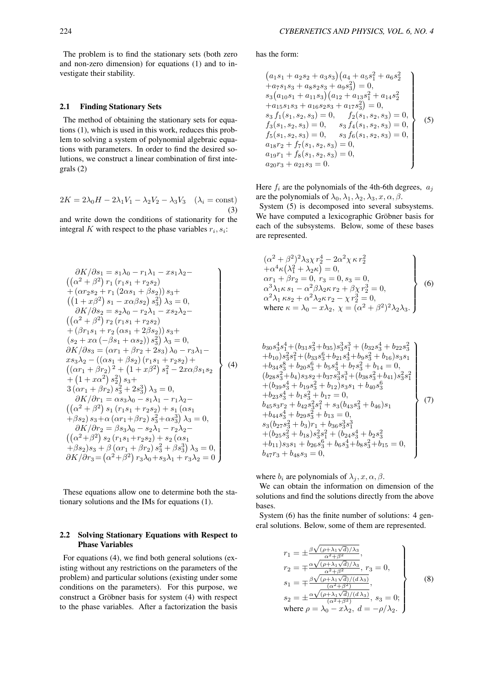The problem is to find the stationary sets (both zero and non-zero dimension) for equations (1) and to investigate their stability.

## 2.1 Finding Stationary Sets

The method of obtaining the stationary sets for equations (1), which is used in this work, reduces this problem to solving a system of polynomial algebraic equations with parameters. In order to find the desired solutions, we construct a linear combination of first integrals (2)

$$
2K = 2\lambda_0 H - 2\lambda_1 V_1 - \lambda_2 V_2 - \lambda_3 V_3 \quad (\lambda_i = \text{const})
$$
\n(3)

and write down the conditions of stationarity for the integral *K* with respect to the phase variables  $r_i$ ,  $s_i$ :

$$
\frac{\partial K}{\partial s_1} = s_1\lambda_0 - r_1\lambda_1 - xs_1\lambda_2 -
$$
\n
$$
((\alpha^2 + \beta^2) r_1 (r_1s_1 + r_2s_2)
$$
\n+  $(\alpha r_2s_2 + r_1 (2\alpha s_1 + \beta s_2)) s_3 +$ \n
$$
((1 + x\beta^2) s_1 - x\alpha\beta s_2) s_3^2) \lambda_3 = 0,
$$
\n
$$
\frac{\partial K}{\partial s_2} = s_2\lambda_0 - r_2\lambda_1 - xs_2\lambda_2 -
$$
\n
$$
((\alpha^2 + \beta^2) r_2 (r_1s_1 + r_2s_2)
$$
\n+  $(\beta r_1s_1 + r_2 (\alpha s_1 + 2\beta s_2)) s_3 +$ \n
$$
(s_2 + x\alpha (-\beta s_1 + \alpha s_2)) s_3^2) \lambda_3 = 0,
$$
\n
$$
\frac{\partial K}{\partial s_3} = (\alpha r_1 + \beta r_2 + 2s_3) \lambda_0 - r_3\lambda_1 -
$$
\n
$$
xs_3\lambda_2 - ((\alpha s_1 + \beta s_2) (r_1s_1 + r_2s_2) +
$$
\n
$$
((\alpha r_1 + \beta r_2)^2 + (1 + x\beta^2) s_1^2 - 2x\alpha\beta s_1s_2 + (1 + x\alpha^2) s_2^2) s_3 +
$$
\n
$$
3(\alpha r_1 + \beta r_2) s_3^2 + 2s_3^3) \lambda_3 = 0,
$$
\n
$$
\frac{\partial K}{\partial r_1} = \alpha s_3\lambda_0 - s_1\lambda_1 - r_1\lambda_2 -
$$
\n
$$
((\alpha^2 + \beta^2) s_1 (r_1s_1 + r_2s_2) + s_1 (\alpha s_1 + \beta s_2) s_3 + \alpha (\alpha r_1 + \beta r_2) s_3^2 + \alpha s_3^3) \lambda_3 = 0,
$$
\n
$$
\frac{\partial K}{\partial r_2} = \beta s_3\lambda_0 - s_2\lambda_1 - r_2\lambda_2 -
$$
\n
$$
((\alpha^2 + \beta^2) s_2 (r_1s_
$$

These equations allow one to determine both the stationary solutions and the IMs for equations (1).

## 2.2 Solving Stationary Equations with Respect to Phase Variables

For equations (4), we find both general solutions (existing without any restrictions on the parameters of the problem) and particular solutions (existing under some conditions on the parameters). For this purpose, we construct a Gröbner basis for system  $(4)$  with respect to the phase variables. After a factorization the basis

has the form:

$$
(a1s1 + a2s2 + a3s3)(a4 + a5s12 + a6s22+ a7s1s3 + a8s2s3 + a9s32) = 0,s3(a10s1 + a11s3)(a12 + a13s12 + a14s22+ a15s1s3 + a16s2s3 + a17s32) = 0,s3 f1(s1, s2, s3) = 0, f2(s1, s2, s3) = 0,f3(s1, s2, s3) = 0, s3 f4(s1, s2, s3) = 0,a18r2 + f7(s1, s2, s3) = 0,a19r1 + f8(s1, s2, s3) = 0,a20r3 + a21s3 = 0.
$$

Here  $f_i$  are the polynomials of the 4th-6th degrees,  $a_j$ are the polynomials of  $\lambda_0, \lambda_1, \lambda_2, \lambda_3, x, \alpha, \beta$ .

System (5) is decomposed into several subsystems. We have computed a lexicographic Gröbner basis for each of the subsystems. Below, some of these bases are represented.

$$
\left(\alpha^{2} + \beta^{2}\right)^{2} \lambda_{3} \chi r_{2}^{4} - 2\alpha^{2} \chi \kappa r_{2}^{2} \n+ \alpha^{4} \kappa \left(\lambda_{1}^{2} + \lambda_{2} \kappa\right) = 0, \n\alpha r_{1} + \beta r_{2} = 0, r_{3} = 0, s_{3} = 0, \n\alpha^{3} \lambda_{1} \kappa s_{1} - \alpha^{2} \beta \lambda_{2} \kappa r_{2} + \beta \chi r_{2}^{3} = 0, \n\alpha^{2} \lambda_{1} \kappa s_{2} + \alpha^{2} \lambda_{2} \kappa r_{2} - \chi r_{2}^{3} = 0, \n\text{where } \kappa = \lambda_{0} - x \lambda_{2}, \ \chi = (\alpha^{2} + \beta^{2})^{2} \lambda_{2} \lambda_{3}.
$$
\n
$$
\tag{6}
$$

$$
b_{30}s_{3}^{4}s_{1}^{4}+(b_{31}s_{3}^{2}+b_{35})s_{3}^{3}s_{1}^{3}+(b_{32}s_{3}^{4}+b_{22}s_{3}^{2}+b_{10})s_{3}^{2}s_{1}^{2}+(b_{33}s_{3}^{6}+b_{21}s_{3}^{4}+b_{9}s_{3}^{2}+b_{16})s_{3}s_{1}+b_{34}s_{3}^{8}+b_{20}s_{3}^{6}+b_{5}s_{3}^{4}+b_{7}s_{3}^{2}+b_{14}=0,(b_{28}s_{3}^{2}+b_{4})s_{3}s_{2}+b_{37}s_{3}^{3}s_{1}^{3}+(b_{38}s_{3}^{2}+b_{41})s_{3}^{2}s_{1}+ (b_{39}s_{3}^{4}+b_{19}s_{3}^{2}+b_{12})s_{3}s_{1}+b_{40}s_{3}+b_{23}s_{3}^{4}+b_{1}s_{3}^{2}+b_{17}=0,b_{45}s_{3}r_{2}+b_{42}s_{3}^{2}s_{1}^{2}+s_{3}(b_{43}s_{3}^{2}+b_{46})s_{1}+b_{44}s_{3}^{4}+b_{29}s_{3}^{2}+b_{13}=0,s_{3}(b_{27}s_{3}^{2}+b_{3})r_{1}+b_{36}s_{3}^{3}s_{1}+ (b_{25}s_{3}^{2}+b_{18})s_{3}s_{1}^{2}+(b_{24}s_{3}^{4}+b_{2}s_{3}+b_{11})s_{3}s_{1}+b_{26}s_{3}^{6}+b_{6}s_{3}^{4}+b_{8}s_{3}^{2}+b_{15}=0,b_{47}r_{3}+b_{48}s_{3}=0,
$$

where  $b_i$  are polynomials of  $\lambda_j$ ,  $x, \alpha, \beta$ .

We can obtain the information on dimension of the solutions and find the solutions directly from the above bases.

System (6) has the finite number of solutions: 4 general solutions. Below, some of them are represented.

$$
r_1 = \pm \frac{\beta \sqrt{(\rho + \lambda_1 \sqrt{d})/\lambda_3}}{\alpha^2 + \beta^2},
$$
  
\n
$$
r_2 = \mp \frac{\alpha \sqrt{(\rho + \lambda_1 \sqrt{d})/\lambda_3}}{\alpha^2 + \beta^2}, r_3 = 0,
$$
  
\n
$$
s_1 = \mp \frac{\beta \sqrt{(\rho + \lambda_1 \sqrt{d})/(d\lambda_3)}}{(\alpha^2 + \beta^2)},
$$
  
\n
$$
s_2 = \pm \frac{\alpha \sqrt{(\rho + \lambda_1 \sqrt{d})/(d\lambda_3)}}{(\alpha^2 + \beta^2)}, s_3 = 0;
$$
  
\nwhere  $\rho = \lambda_0 - x\lambda_2, d = -\rho/\lambda_2.$  (8)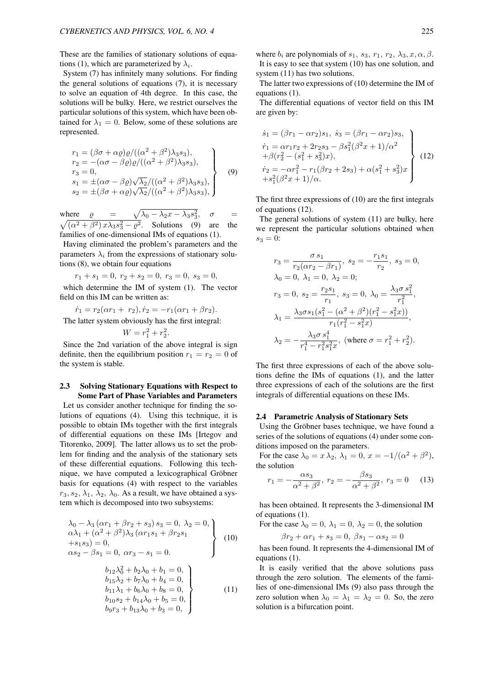These are the families of stationary solutions of equations (1), which are parameterized by  $\lambda_i$ .

System (7) has infinitely many solutions. For finding the general solutions of equations (7), it is necessary to solve an equation of 4th degree. In this case, the solutions will be bulky. Here, we restrict ourselves the particular solutions of this system, which have been obtained for  $\lambda_1 = 0$ . Below, some of these solutions are represented.

$$
r_1 = (\beta \sigma + \alpha \varrho) \varrho / ((\alpha^2 + \beta^2) \lambda_3 s_3),
$$
  
\n
$$
r_2 = -(\alpha \sigma - \beta \varrho) \varrho / ((\alpha^2 + \beta^2) \lambda_3 s_3),
$$
  
\n
$$
r_3 = 0,
$$
  
\n
$$
s_1 = \pm (\alpha \sigma - \beta \varrho) \sqrt{\lambda_2} / ((\alpha^2 + \beta^2) \lambda_3 s_3),
$$
  
\n
$$
s_2 = \pm (\beta \sigma + \alpha \varrho) \sqrt{\lambda_2} / ((\alpha^2 + \beta^2) \lambda_3 s_3),
$$
\n(9)

where  $\rho = \sqrt{\lambda_0 - \lambda_2 x - \lambda_3 s_3^2}$ <br>  $\sqrt{(\alpha^2 + \beta^2) x \lambda_2 s_2^2 - \beta^2}$ . Solutions (9)  $, \sigma =$  $(\alpha^2 + \beta^2) x\lambda_3 s_3^2 - \varrho^2$ . Solutions (9) are the families of one-dimensional IMs of equations (1).

Having eliminated the problem's parameters and the parameters  $\lambda_i$  from the expressions of stationary solutions (8), we obtain four equations

$$
r_1 + s_1 = 0
$$
,  $r_2 + s_2 = 0$ ,  $r_3 = 0$ ,  $s_3 = 0$ ,  
which determine the IM of system (1). The vector  
field on this IM can be written as:

 $\dot{r}_1 = r_2(\alpha r_1 + r_2), \dot{r}_2 = -r_1(\alpha r_1 + \beta r_2).$ The latter system obviously has the first integral:

 $W = r_1^2 + r_2^2.$ 

Since the 2nd variation of the above integral is sign definite, then the equilibrium position  $r_1 = r_2 = 0$  of the system is stable.

## 2.3 Solving Stationary Equations with Respect to Some Part of Phase Variables and Parameters

Let us consider another technique for finding the solutions of equations (4). Using this technique, it is possible to obtain IMs together with the first integrals of differential equations on these IMs [Irtegov and Titorenko, 2009]. The latter allows us to set the problem for finding and the analysis of the stationary sets of these differential equations. Following this technique, we have computed a lexicographical Gröbner basis for equations (4) with respect to the variables  $r_3, s_2, \lambda_1, \lambda_2, \lambda_0$ . As a result, we have obtained a system which is decomposed into two subsystems:

$$
\lambda_0 - \lambda_3 (\alpha r_1 + \beta r_2 + s_3) s_3 = 0, \ \lambda_2 = 0, \n\alpha \lambda_1 + (\alpha^2 + \beta^2) \lambda_3 (\alpha r_1 s_1 + \beta r_2 s_1 \n+s_1 s_3) = 0, \n\alpha s_2 - \beta s_1 = 0, \ \alpha r_3 - s_1 = 0.
$$
\n
$$
\begin{array}{c} b_{12} \lambda_0^2 + b_2 \lambda_0 + b_1 = 0, \nb_{15} \lambda_2 + b_7 \lambda_0 + b_4 = 0, \nb_{11} \lambda_1 + b_6 \lambda_0 + b_8 = 0, \nb_{10} s_2 + b_{14} \lambda_0 + b_5 = 0, \nb_{9} r_3 + b_{13} \lambda_0 + b_3 = 0, \end{array}
$$
\n(11)

where  $b_i$  are polynomials of  $s_1$ ,  $s_3$ ,  $r_1$ ,  $r_2$ ,  $\lambda_3$ ,  $x$ ,  $\alpha$ ,  $\beta$ . It is easy to see that system (10) has one solution, and system  $(11)$  has two solutions.

The latter two expressions of (10) determine the IM of equations (1).

The differential equations of vector field on this IM are given by:

$$
\begin{aligned}\n\dot{s}_1 &= (\beta r_1 - \alpha r_2)s_1, \ \dot{s}_3 = (\beta r_1 - \alpha r_2)s_3, \\
\dot{r}_1 &= \alpha r_1 r_2 + 2r_2 s_3 - \beta s_1^2 (\beta^2 x + 1)/\alpha^2 \\
&+ \beta (r_2^2 - (s_1^2 + s_3^2)x), \\
\dot{r}_2 &= -\alpha r_1^2 - r_1 (\beta r_2 + 2s_3) + \alpha (s_1^2 + s_3^2)x \\
&+ s_1^2 (\beta^2 x + 1)/\alpha.\n\end{aligned}
$$
\n(12)

The first three expressions of (10) are the first integrals of equations (12).

The general solutions of system (11) are bulky, here we represent the particular solutions obtained when  $s_3 = 0$ :

$$
r_3 = \frac{\sigma s_1}{r_2(\alpha r_2 - \beta r_1)}, s_2 = -\frac{r_1 s_1}{r_2}, s_3 = 0,
$$
  
\n
$$
\lambda_0 = 0, \lambda_1 = 0, \lambda_2 = 0;
$$
  
\n
$$
r_3 = 0, s_2 = \frac{r_2 s_1}{r_1}, s_3 = 0, \lambda_0 = \frac{\lambda_3 \sigma s_1^2}{r_1^2},
$$
  
\n
$$
\lambda_1 = \frac{\lambda_3 \sigma s_1 (s_1^2 - (\alpha^2 + \beta^2)(r_1^2 - s_1^2 x))}{r_1(r_1^2 - s_1^2 x)},
$$
  
\n
$$
\lambda_2 = -\frac{\lambda_3 \sigma s_1^4}{r_1^4 - r_1^2 s_1^2 x}, \text{ (where } \sigma = r_1^2 + r_2^2).
$$

The first three expressions of each of the above solutions define the IMs of equations (1), and the latter three expressions of each of the solutions are the first integrals of differential equations on these IMs.

#### 2.4 Parametric Analysis of Stationary Sets

Using the Gröbner bases technique, we have found a series of the solutions of equations (4) under some conditions imposed on the parameters.

For the case  $\lambda_0 = x \lambda_2, \lambda_1 = 0, x = -1/(\alpha^2 + \beta^2)$ , the solution

$$
r_1 = -\frac{\alpha s_3}{\alpha^2 + \beta^2}, \ r_2 = -\frac{\beta s_3}{\alpha^2 + \beta^2}, \ r_3 = 0 \tag{13}
$$

has been obtained. It represents the 3-dimensional IM of equations (1).

For the case  $\lambda_0 = 0$ ,  $\lambda_1 = 0$ ,  $\lambda_2 = 0$ , the solution

$$
\beta r_2 + \alpha r_1 + s_3 = 0, \ \beta s_1 - \alpha s_2 = 0
$$

has been found. It represents the 4-dimensional IM of equations (1).

It is easily verified that the above solutions pass through the zero solution. The elements of the families of one-dimensional IMs (9) also pass through the zero solution when  $\lambda_0 = \lambda_1 = \lambda_2 = 0$ . So, the zero solution is a bifurcation point.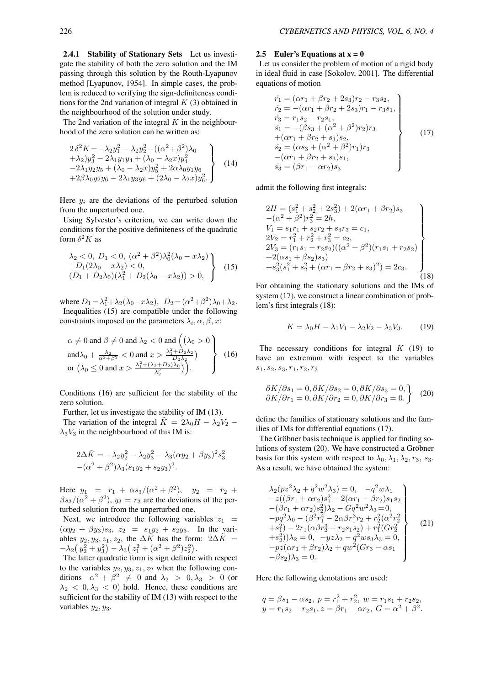2.4.1 Stability of Stationary Sets Let us investigate the stability of both the zero solution and the IM passing through this solution by the Routh-Lyapunov method [Lyapunov, 1954]. In simple cases, the problem is reduced to verifying the sign-definiteness conditions for the 2nd variation of integral *K* (3) obtained in the neighbourhood of the solution under study.

The 2nd variation of the integral *K* in the neighbourhood of the zero solution can be written as:

$$
2\delta^{2} K = -\lambda_{2} y_{1}^{2} - \lambda_{2} y_{2}^{2} - ((\alpha^{2} + \beta^{2})\lambda_{0} + \lambda_{2}) y_{3}^{2} - 2\lambda_{1} y_{1} y_{4} + (\lambda_{0} - \lambda_{2} x) y_{4}^{2} - 2\lambda_{1} y_{2} y_{5} + (\lambda_{0} - \lambda_{2} x) y_{5}^{2} + 2\alpha \lambda_{0} y_{1} y_{6} + 2\beta \lambda_{0} y_{2} y_{6} - 2\lambda_{1} y_{3} y_{6} + (2\lambda_{0} - \lambda_{2} x) y_{6}^{2}.
$$
 (14)

Here  $y_i$  are the deviations of the perturbed solution from the unperturbed one.

Using Sylvester's criterion, we can write down the conditions for the positive definiteness of the quadratic form  $\delta^2 K$  as

$$
\begin{aligned}\n\lambda_2 &< 0, \ D_1 &< 0, \ (\alpha^2 + \beta^2)\lambda_0^2(\lambda_0 - x\lambda_2) \\
&+ D_1(2\lambda_0 - x\lambda_2) &< 0, \\
(D_1 + D_2\lambda_0)(\lambda_1^2 + D_2(\lambda_0 - x\lambda_2)) &> 0,\n\end{aligned}\n\bigg\} \tag{15}
$$

where  $D_1 = \lambda_1^2 + \lambda_2(\lambda_0 - x\lambda_2)$ ,  $D_2 = (\alpha^2 + \beta^2)\lambda_0 + \lambda_2$ . Inequalities (15) are compatible under the following constraints imposed on the parameters  $\lambda_i$ ,  $\alpha$ ,  $\beta$ ,  $x$ :

$$
\alpha \neq 0 \text{ and } \beta \neq 0 \text{ and } \lambda_2 < 0 \text{ and } \left( (\lambda_0 > 0) \atop \text{and} \lambda_0 + \frac{\lambda_2}{\alpha^2 + \beta^2} < 0 \text{ and } x > \frac{\lambda_1^2 + D_2 \lambda_2}{D_2 \lambda_2} \right)
$$
\n
$$
\text{or } \left( \lambda_0 \leq 0 \text{ and } x > \frac{\lambda_1^2 + (\lambda_2 + D_2)\lambda_0}{\lambda_2^2} \right) \right). \tag{16}
$$

Conditions (16) are sufficient for the stability of the zero solution.

Further, let us investigate the stability of IM (13). The variation of the integral  $\tilde{K} = 2\lambda_0 H - \lambda_2 V_2$  –  $\lambda_3 V_3$  in the neighbourhood of this IM is:

$$
2\Delta \tilde{K} = -\lambda_2 y_2^2 - \lambda_2 y_3^2 - \lambda_3 (\alpha y_2 + \beta y_3)^2 s_3^2
$$
  
-( $\alpha^2 + \beta^2$ ) $\lambda_3 (s_1 y_2 + s_2 y_3)^2$ .

Here  $y_1 = r_1 + \alpha s_3/(\alpha^2 + \beta^2)$ ,  $y_2 = r_2 + \beta^2$  $\beta s_3/(\alpha^2 + \beta^2)$ ,  $y_3 = r_3$  are the deviations of the perturbed solution from the unperturbed one.

Next, we introduce the following variables  $z_1$  =  $(\alpha y_2 + \beta y_3)s_3$ ,  $z_2 = s_1y_2 + s_2y_3$ . In the variables  $y_2, y_3, z_1, z_2$ , the  $\Delta \tilde{K}$  has the form:  $2\Delta \tilde{K}$  =  $-\lambda_2(y_2^2 + y_3^2) - \lambda_3(z_1^2 + (\alpha^2 + \beta^2)z_2^2).$ 

The latter quadratic form is sign definite with respect to the variables  $y_2, y_3, z_1, z_2$  when the following conditions  $\alpha^2 + \beta^2 \neq 0$  and  $\lambda_2 > 0, \lambda_3 > 0$  (or  $\lambda_2$  < 0,  $\lambda_3$  < 0) hold. Hence, these conditions are sufficient for the stability of IM (13) with respect to the variables *y*2*, y*3.

## 2.5 Euler's Equations at  $x = 0$

Let us consider the problem of motion of a rigid body in ideal fluid in case [Sokolov, 2001]. The differential equations of motion

$$
\begin{aligned}\n\dot{r}_1 &= (\alpha r_1 + \beta r_2 + 2s_3)r_2 - r_3s_2, \\
\dot{r}_2 &= -(\alpha r_1 + \beta r_2 + 2s_3)r_1 - r_3s_1, \\
\dot{r}_3 &= r_1s_2 - r_2s_1, \\
\dot{s}_1 &= -(\beta s_3 + (\alpha^2 + \beta^2)r_2)r_3 \\
&+ (\alpha r_1 + \beta r_2 + s_3)s_2, \\
\dot{s}_2 &= (\alpha s_3 + (\alpha^2 + \beta^2)r_1)r_3 \\
&- (\alpha r_1 + \beta r_2 + s_3)s_1, \\
\dot{s}_3 &= (\beta r_1 - \alpha r_2)s_3\n\end{aligned}
$$
\n(17)

admit the following first integrals:

$$
2H = (s_1^2 + s_2^2 + 2s_3^2) + 2(\alpha r_1 + \beta r_2)s_3
$$
  
\n
$$
-(\alpha^2 + \beta^2)r_3^2 = 2h,
$$
  
\n
$$
V_1 = s_1r_1 + s_2r_2 + s_3r_3 = c_1,
$$
  
\n
$$
2V_2 = r_1^2 + r_2^2 + r_3^2 = c_2,
$$
  
\n
$$
2V_3 = (r_1s_1 + r_2s_2)((\alpha^2 + \beta^2)(r_1s_1 + r_2s_2))
$$
  
\n
$$
+2(\alpha s_1 + \beta s_2)s_3)
$$
  
\n
$$
+s_3^2(s_1^2 + s_2^2 + (\alpha r_1 + \beta r_2 + s_3)^2) = 2c_3.
$$
  
\n(18)

For obtaining the stationary solutions and the IMs of system (17), we construct a linear combination of problem's first integrals (18):

$$
K = \lambda_0 H - \lambda_1 V_1 - \lambda_2 V_2 - \lambda_3 V_3. \tag{19}
$$

The necessary conditions for integral *K* (19) to have an extremum with respect to the variables *s*1*, s*2*, s*3*, r*1*, r*2*, r*<sup>3</sup>

$$
\frac{\partial K}{\partial s_1} = 0, \frac{\partial K}{\partial s_2} = 0, \frac{\partial K}{\partial s_3} = 0, \n\frac{\partial K}{\partial r_1} = 0, \frac{\partial K}{\partial r_2} = 0, \frac{\partial K}{\partial r_3} = 0.
$$
\n(20)

define the families of stationary solutions and the families of IMs for differential equations (17).

The Gröbner basis technique is applied for finding solutions of system (20). We have constructed a Gröbner basis for this system with respect to  $\lambda_0, \lambda_1, \lambda_2, r_3, s_3$ . As a result, we have obtained the system:

$$
\lambda_2(pz^2\lambda_2 + q^2w^2\lambda_3) = 0, -q^2w\lambda_1 \n-z((\beta r_1 + \alpha r_2)s_1^2 - 2(\alpha r_1 - \beta r_2)s_1s_2 \n-(\beta r_1 + \alpha r_2)s_2^2)\lambda_2 - Gq^2w^2\lambda_3 = 0, \n-pq^2\lambda_0 - (\beta^2 r_1^4 - 2\alpha\beta r_1^3r_2 + r_2^2(\alpha^2 r_2^2 \n+s_1^2) - 2r_1(\alpha\beta r_2^3 + r_2s_1s_2) + r_1^2(Gr_2^2 \n+s_2^2))\lambda_2 = 0, -yz\lambda_2 - q^2ws_3\lambda_3 = 0, \n-pz(\alpha r_1 + \beta r_2)\lambda_2 + qw^2(Gr_3 - \alpha s_1 \n-\beta s_2)\lambda_3 = 0.
$$
\n(21)

Here the following denotations are used:

$$
q = \beta s_1 - \alpha s_2, \ p = r_1^2 + r_2^2, \ w = r_1 s_1 + r_2 s_2, \ny = r_1 s_2 - r_2 s_1, z = \beta r_1 - \alpha r_2, \ G = \alpha^2 + \beta^2.
$$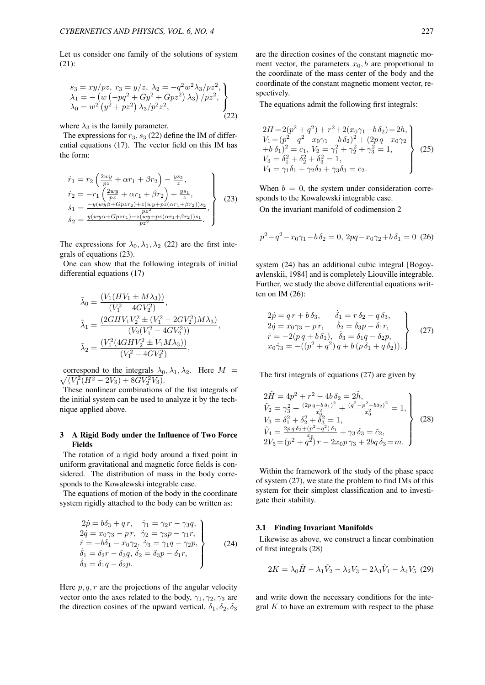Let us consider one family of the solutions of system (21):

$$
s_3 = xy/pz, r_3 = y/z, \lambda_2 = -q^2 w^2 \lambda_3 / pz^2, \lambda_1 = -(w (-pq^2 + Gy^2 + Gpz^2) \lambda_3) / pz^2, \lambda_0 = w^2 (y^2 + pz^2) \lambda_3 / p^2 z^2,
$$
\n(22)

where  $\lambda_3$  is the family parameter.

The expressions for  $r_3$ ,  $s_3$  (22) define the IM of differential equations (17). The vector field on this IM has the form:

$$
\dot{r}_1 = r_2 \left( \frac{2wy}{pz} + \alpha r_1 + \beta r_2 \right) - \frac{ys_2}{z},
$$
\n
$$
\dot{r}_2 = -r_1 \left( \frac{2wy}{pz} + \alpha r_1 + \beta r_2 \right) + \frac{ys_1}{z},
$$
\n
$$
\dot{s}_1 = \frac{-y(wy\beta + Gpzr_2) + z(wy + pz(\alpha r_1 + \beta r_2))s_2}{pz^2},
$$
\n
$$
\dot{s}_2 = \frac{y(wy\alpha + Gpzr_1) - z(wy + pz(\alpha r_1 + \beta r_2))s_1}{pz^2}.
$$
\n(23)

The expressions for  $\lambda_0, \lambda_1, \lambda_2$  (22) are the first integrals of equations (23).

One can show that the following integrals of initial differential equations (17)

$$
\tilde{\lambda}_0 = \frac{(V_1(HV_1 \pm M\lambda_3))}{(V_1^2 - 4GV_2^2)},
$$
\n
$$
\tilde{\lambda}_1 = \frac{(2GHV_1V_2^2 \pm (V_1^2 - 2GV_2^2)M\lambda_3)}{(V_2(V_1^2 - 4GV_2^2))},
$$
\n
$$
\tilde{\lambda}_2 = \frac{(V_1^2(4GHV_2^2 \pm V_1M\lambda_3))}{(V_1^2 - 4GV_2^2)},
$$

 $\sqrt{(V_1^2(H^2-2V_3)+8GV_2^2V_3)}$ . correspond to the integrals  $\lambda_0, \lambda_1, \lambda_2$ . Here  $M =$ 

These nonlinear combinations of the fist integrals of the initial system can be used to analyze it by the technique applied above.

## 3 A Rigid Body under the Influence of Two Force Fields

The rotation of a rigid body around a fixed point in uniform gravitational and magnetic force fields is considered. The distribution of mass in the body corresponds to the Kowalewski integrable case.

The equations of motion of the body in the coordinate system rigidly attached to the body can be written as:

$$
2\dot{p} = b\delta_3 + q r, \quad \dot{\gamma}_1 = \gamma_2 r - \gamma_3 q, \n2\dot{q} = x_0 \gamma_3 - p r, \quad \dot{\gamma}_2 = \gamma_3 p - \gamma_1 r, \n\dot{r} = -b\delta_1 - x_0 \gamma_2, \quad \dot{\gamma}_3 = \gamma_1 q - \gamma_2 p, \n\dot{\delta}_1 = \delta_2 r - \delta_3 q, \quad \dot{\delta}_2 = \delta_3 p - \delta_1 r, \n\dot{\delta}_3 = \delta_1 q - \delta_2 p.
$$
\n(24)

Here  $p, q, r$  are the projections of the angular velocity vector onto the axes related to the body,  $\gamma_1, \gamma_2, \gamma_3$  are the direction cosines of the upward vertical,  $\delta_1, \delta_2, \delta_3$  are the direction cosines of the constant magnetic moment vector, the parameters  $x_0$ , *b* are proportional to the coordinate of the mass center of the body and the coordinate of the constant magnetic moment vector, respectively.

The equations admit the following first integrals:

$$
2H = 2(p^{2} + q^{2}) + r^{2} + 2(x_{0}\gamma_{1} - b\delta_{2}) = 2h,
$$
  
\n
$$
V_{1} = (p^{2} - q^{2} - x_{0}\gamma_{1} - b\delta_{2})^{2} + (2pq - x_{0}\gamma_{2}) + b\delta_{1})^{2} = c_{1}, V_{2} = \gamma_{1}^{2} + \gamma_{2}^{2} + \gamma_{3}^{2} = 1,
$$
  
\n
$$
V_{3} = \delta_{1}^{2} + \delta_{2}^{2} + \delta_{3}^{2} = 1,
$$
  
\n
$$
V_{4} = \gamma_{1}\delta_{1} + \gamma_{2}\delta_{2} + \gamma_{3}\delta_{3} = c_{2}.
$$
\n(25)

When  $b = 0$ , the system under consideration corresponds to the Kowalewski integrable case.

On the invariant manifold of codimension 2

$$
p^2 - q^2 - x_0 \gamma_1 - b \delta_2 = 0, \ 2pq - x_0 \gamma_2 + b \delta_1 = 0 \ (26)
$$

system (24) has an additional cubic integral [Bogoyavlenskii, 1984] and is completely Liouville integrable. Further, we study the above differential equations written on IM (26):

$$
2\dot{p} = q r + b \delta_3, \qquad \dot{\delta}_1 = r \delta_2 - q \delta_3,\n2\dot{q} = x_0 \gamma_3 - p r, \qquad \dot{\delta}_2 = \delta_3 p - \delta_1 r,\n\dot{r} = -2(p q + b \delta_1), \qquad \dot{\delta}_3 = \delta_1 q - \delta_2 p,\n x_0 \dot{\gamma}_3 = -((p^2 + q^2) q + b (p \delta_1 + q \delta_2)).
$$
\n(27)

The first integrals of equations (27) are given by

$$
2\tilde{H} = 4p^2 + r^2 - 4b\,\delta_2 = 2\tilde{h},
$$
  
\n
$$
\tilde{V}_2 = \gamma_3^2 + \frac{(2pq + b\,\delta_1)^2}{x_0^2} + \frac{(q^2 - p^2 + b\,\delta_2)^2}{x_0^2} = 1,
$$
  
\n
$$
V_3 = \delta_1^2 + \delta_2^2 + \delta_3^2 = 1,
$$
  
\n
$$
\tilde{V}_4 = \frac{2pq\,\delta_2 + (p^2 - q^2)\,\delta_1}{x_0^2} + \gamma_3\,\delta_3 = \tilde{c}_2,
$$
  
\n
$$
2V_5 = (p^2 + q^2) \,r - 2x_0p\,\gamma_3 + 2bq\,\delta_3 = m.
$$
\n(28)

Within the framework of the study of the phase space of system (27), we state the problem to find IMs of this system for their simplest classification and to investigate their stability.

#### 3.1 Finding Invariant Manifolds

Likewise as above, we construct a linear combination of first integrals (28)

$$
2K = \lambda_0 \tilde{H} - \lambda_1 \tilde{V}_2 - \lambda_2 V_3 - 2\lambda_3 \tilde{V}_4 - \lambda_4 V_5
$$
 (29)

and write down the necessary conditions for the integral *K* to have an extremum with respect to the phase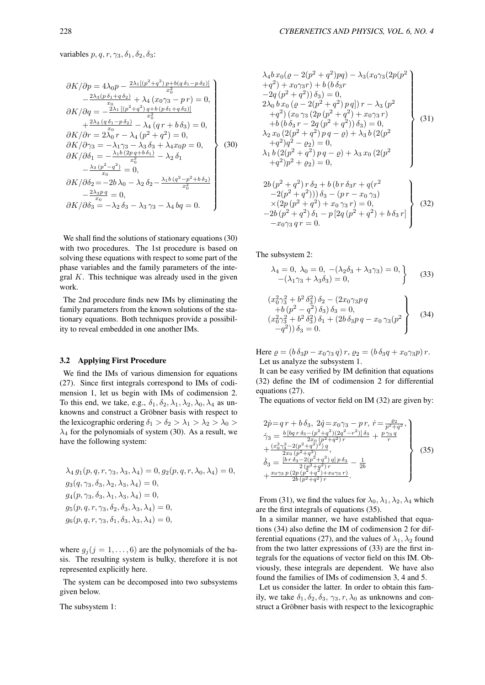variables  $p, q, r, \gamma_3, \delta_1, \delta_2, \delta_3$ :

$$
\frac{\partial K}{\partial p} = 4\lambda_0 p - \frac{2\lambda_1[(p^2+q^2)p + b(q\delta_1 - p\delta_2)]}{x_0^2} \n- \frac{2\lambda_3(p\delta_1 + q\delta_2)}{x_0^0} + \lambda_4(x_0\gamma_3 - p\,r) = 0, \n\frac{\partial K}{\partial q} = -\frac{2\lambda_1[(p^2+q^2)q + b(p\delta_1 + q\delta_2)]}{x_0^2} \n+ \frac{2\lambda_3(q\delta_1 - p\delta_2)}{x_0} - \lambda_4(qr + b\delta_3) = 0, \n\frac{\partial K}{\partial r} = 2\lambda_0 r - \lambda_4(p^2 + q^2) = 0, \n\frac{\partial K}{\partial s} = -\lambda_1\gamma_3 - \lambda_3\delta_3 + \lambda_4x_0p = 0, \n\frac{\partial K}{\partial s} = -\lambda_1\gamma_3 - \lambda_3\delta_3 + \lambda_4x_0p = 0, \n-\frac{\lambda_3(p^2-q^2)}{x_0^2} = 0, \n-\frac{\lambda_3(p^2-q^2)}{x_0} = 0, \n\frac{\partial K}{\partial s_3} = -\lambda_2\delta_3 - \lambda_3\gamma_3 - \lambda_4bq = 0.
$$
\n(30)

We shall find the solutions of stationary equations (30) with two procedures. The 1st procedure is based on solving these equations with respect to some part of the phase variables and the family parameters of the integral *K*. This technique was already used in the given work.

The 2nd procedure finds new IMs by eliminating the family parameters from the known solutions of the stationary equations. Both techniques provide a possibility to reveal embedded in one another IMs.

## 3.2 Applying First Procedure

We find the IMs of various dimension for equations (27). Since first integrals correspond to IMs of codimension 1, let us begin with IMs of codimension 2. To this end, we take, e.g.,  $\delta_1$ ,  $\delta_2$ ,  $\lambda_1$ ,  $\lambda_2$ ,  $\lambda_0$ ,  $\lambda_4$  as unknowns and construct a Gröbner basis with respect to the lexicographic ordering  $\delta_1 > \delta_2 > \lambda_1 > \lambda_2 > \lambda_0 >$  $\lambda_4$  for the polynomials of system (30). As a result, we have the following system:

$$
\lambda_4 g_1(p, q, r, \gamma_3, \lambda_3, \lambda_4) = 0, g_2(p, q, r, \lambda_0, \lambda_4) = 0, g_3(q, \gamma_3, \delta_3, \lambda_2, \lambda_3, \lambda_4) = 0, g_4(p, \gamma_3, \delta_3, \lambda_1, \lambda_3, \lambda_4) = 0, g_5(p, q, r, \gamma_3, \delta_2, \delta_3, \lambda_3, \lambda_4) = 0, g_6(p, q, r, \gamma_3, \delta_1, \delta_3, \lambda_3, \lambda_4) = 0,
$$

where  $g_i$  ( $j = 1, \ldots, 6$ ) are the polynomials of the basis. The resulting system is bulky, therefore it is not represented explicitly here.

The system can be decomposed into two subsystems given below.

The subsystem 1:

$$
\lambda_4 b x_0 ( \varrho - 2(p^2 + q^2) pq) - \lambda_3 (x_0 \gamma_3 (2p(p^2 + q^2) + x_0 \gamma_3 r) + b (b \delta_3 r -2q (p^2 + q^2)) \delta_3) = 0,\n2\lambda_0 b x_0 ( \varrho - 2(p^2 + q^2) pq ] r - \lambda_3 (p^2 + q^2) (x_0 \gamma_3 (2p (p^2 + q^2) + x_0 \gamma_3 r) + b (b \delta_3 r - 2q (p^2 + q^2)) \delta_3) = 0,\n\lambda_2 x_0 (2(p^2 + q^2) pq - \varrho) + \lambda_3 b (2(p^2 + q^2) p^2 - \varrho_2) = 0,\n\lambda_1 b (2(p^2 + q^2) pq - \varrho) + \lambda_3 x_0 (2(p^2 + q^2) p^2 + \varrho_2) = 0,
$$
\n(31)

$$
2b (p2 + q2) r \delta2 + b (b r \delta3 r + q(r2 -2(p2 + q2))) \delta3 - (p r - x0 \gamma3)
$$
  
\times (2p (p<sup>2</sup> + q<sup>2</sup>) + x<sub>0</sub> \gamma<sub>3</sub> r) = 0,  
\n-2b (p<sup>2</sup> + q<sup>2</sup>) \delta<sub>1</sub> - p [2q (p<sup>2</sup> + q<sup>2</sup>) + b \delta<sub>3</sub> r]  
\n-x<sub>0</sub> \gamma<sub>3</sub> q r = 0. (32)

The subsystem 2:

$$
\lambda_4 = 0, \lambda_0 = 0, -(\lambda_2 \delta_3 + \lambda_3 \gamma_3) = 0, -(\lambda_1 \gamma_3 + \lambda_3 \delta_3) = 0,
$$
\n(33)

$$
(x_0^2 \gamma_3^2 + b^2 \delta_3^2) \delta_2 - (2x_0 \gamma_3 p q + b (p^2 - q^2) \delta_3) \delta_3 = 0,(x_0^2 \gamma_3^2 + b^2 \delta_3^2) \delta_1 + (2b \delta_3 p q - x_0 \gamma_3 (p^2 -q^2)) \delta_3 = 0.
$$
 (34)

Here  $\varrho = (b \, \delta_3 p - x_0 \gamma_3 q) r$ ,  $\varrho_2 = (b \, \delta_3 q + x_0 \gamma_3 p) r$ . Let us analyze the subsystem 1.

It can be easy verified by IM definition that equations (32) define the IM of codimension 2 for differential equations (27).

The equations of vector field on IM (32) are given by:

$$
2\dot{p} = q r + b \,\delta_3, \ 2\dot{q} = x_0 \gamma_3 - p r, \ \dot{r} = \frac{\varrho_2}{p^2 + q^2},
$$
\n
$$
\dot{\gamma}_3 = \frac{b \left[ b q \, r \, \delta_3 - (p^2 + q^2)(2q^2 - r^2) \right] \delta_3}{2x_0 \left( p^2 + q^2 \right)} + \frac{\varrho \gamma_3 q}{r} + \frac{\varrho \gamma_3 q}{2x_0 \left( p^2 + q^2 \right)}.
$$
\n
$$
\dot{\delta}_3 = \frac{\left[ b \, r \, \delta_3 - 2(p^2 + q^2) \right] q \left[ p \, \delta_3 - 2 \right]}{2 \left( p^2 + q^2 \right) r} - \frac{1}{2b} + \frac{x_0 \gamma_3 p \left( 2p \left( p^2 + q^2 \right) + x_0 \gamma_3 r \right)}{2b \left( p^2 + q^2 \right) r}.
$$
\n
$$
(35)
$$

From (31), we find the values for  $\lambda_0, \lambda_1, \lambda_2, \lambda_4$  which are the first integrals of equations (35).

In a similar manner, we have established that equations (34) also define the IM of codimension 2 for differential equations (27), and the values of  $\lambda_1$ ,  $\lambda_2$  found from the two latter expressions of (33) are the first integrals for the equations of vector field on this IM. Obviously, these integrals are dependent. We have also found the families of IMs of codimension 3, 4 and 5.

Let us consider the latter. In order to obtain this family, we take  $\delta_1, \delta_2, \delta_3, \gamma_3, r, \lambda_0$  as unknowns and construct a Gröbner basis with respect to the lexicographic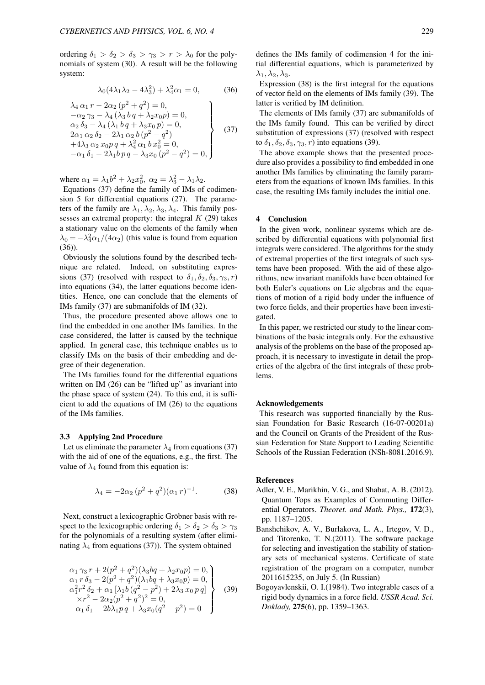ordering  $\delta_1 > \delta_2 > \delta_3 > \gamma_3 > r > \lambda_0$  for the polynomials of system (30). A result will be the following system:

$$
\lambda_0(4\lambda_1\lambda_2 - 4\lambda_3^2) + \lambda_4^2\alpha_1 = 0,\tag{36}
$$

$$
\lambda_4 \alpha_1 r - 2\alpha_2 (p^2 + q^2) = 0,\n-\alpha_2 \gamma_3 - \lambda_4 (\lambda_3 b q + \lambda_2 x_0 p) = 0,\n\alpha_2 \delta_3 - \lambda_4 (\lambda_1 b q + \lambda_3 x_0 p) = 0,\n2\alpha_1 \alpha_2 \delta_2 - 2\lambda_1 \alpha_2 b (p^2 - q^2)\n+4\lambda_3 \alpha_2 x_0 p q + \lambda_4^2 \alpha_1 b x_0^2 = 0,\n-\alpha_1 \delta_1 - 2\lambda_1 b p q - \lambda_3 x_0 (p^2 - q^2) = 0,
$$
\n(37)

where  $\alpha_1 = \lambda_1 b^2 + \lambda_2 x_0^2$ ,  $\alpha_2 = \lambda_3^2 - \lambda_1 \lambda_2$ .

Equations (37) define the family of IMs of codimension 5 for differential equations (27). The parameters of the family are  $\lambda_1, \lambda_2, \lambda_3, \lambda_4$ . This family possesses an extremal property: the integral *K* (29) takes a stationary value on the elements of the family when  $\lambda_0 = -\lambda_4^2 \alpha_1 / (4\alpha_2)$  (this value is found from equation (36)).

Obviously the solutions found by the described technique are related. Indeed, on substituting expressions (37) (resolved with respect to  $\delta_1, \delta_2, \delta_3, \gamma_3, r$ ) into equations (34), the latter equations become identities. Hence, one can conclude that the elements of IMs family (37) are submanifolds of IM (32).

Thus, the procedure presented above allows one to find the embedded in one another IMs families. In the case considered, the latter is caused by the technique applied. In general case, this technique enables us to classify IMs on the basis of their embedding and degree of their degeneration.

The IMs families found for the differential equations written on IM (26) can be "lifted up" as invariant into the phase space of system (24). To this end, it is sufficient to add the equations of IM (26) to the equations of the IMs families.

#### 3.3 Applying 2nd Procedure

Let us eliminate the parameter  $\lambda_4$  from equations (37) with the aid of one of the equations, e.g., the first. The value of  $\lambda_4$  found from this equation is:

$$
\lambda_4 = -2\alpha_2 (p^2 + q^2)(\alpha_1 r)^{-1}.
$$
 (38)

Next, construct a lexicographic Gröbner basis with respect to the lexicographic ordering  $\delta_1 > \delta_2 > \delta_3 > \gamma_3$ for the polynomials of a resulting system (after eliminating  $\lambda_4$  from equations (37)). The system obtained

$$
\alpha_1 \gamma_3 r + 2(p^2 + q^2)(\lambda_3 bq + \lambda_2 x_0 p) = 0,\n\alpha_1 r \delta_3 - 2(p^2 + q^2)(\lambda_1 bq + \lambda_3 x_0 p) = 0,\n\alpha_1^2 r^2 \delta_2 + \alpha_1 [\lambda_1 b (q^2 - p^2) + 2\lambda_3 x_0 p q] \times r^2 - 2\alpha_2 (p^2 + q^2)^2 = 0,\n-\alpha_1 \delta_1 - 2b\lambda_1 p q + \lambda_3 x_0 (q^2 - p^2) = 0
$$
\n(39)

defines the IMs family of codimension 4 for the initial differential equations, which is parameterized by  $\lambda_1, \lambda_2, \lambda_3$ .

Expression (38) is the first integral for the equations of vector field on the elements of IMs family (39). The latter is verified by IM definition.

The elements of IMs family (37) are submanifolds of the IMs family found. This can be verified by direct substitution of expressions (37) (resolved with respect to  $\delta_1$ ,  $\delta_2$ ,  $\delta_3$ ,  $\gamma_3$ , *r*) into equations (39).

The above example shows that the presented procedure also provides a possibility to find embedded in one another IMs families by eliminating the family parameters from the equations of known IMs families. In this case, the resulting IMs family includes the initial one.

## 4 Conclusion

In the given work, nonlinear systems which are described by differential equations with polynomial first integrals were considered. The algorithms for the study of extremal properties of the first integrals of such systems have been proposed. With the aid of these algorithms, new invariant manifolds have been obtained for both Euler's equations on Lie algebras and the equations of motion of a rigid body under the influence of two force fields, and their properties have been investigated.

In this paper, we restricted our study to the linear combinations of the basic integrals only. For the exhaustive analysis of the problems on the base of the proposed approach, it is necessary to investigate in detail the properties of the algebra of the first integrals of these problems.

### Acknowledgements

This research was supported financially by the Russian Foundation for Basic Research (16-07-00201a) and the Council on Grants of the President of the Russian Federation for State Support to Leading Scientific Schools of the Russian Federation (NSh-8081.2016.9).

### References

- Adler, V. E., Marikhin, V. G., and Shabat, A. B. (2012). Quantum Tops as Examples of Commuting Differential Operators. *Theoret. and Math. Phys.,* 172(3), pp. 1187–1205.
- Banshchikov, A. V., Burlakova, L. A., Irtegov, V. D., and Titorenko, T. N.(2011). The software package for selecting and investigation the stability of stationary sets of mechanical systems. Certificate of state registration of the program on a computer, number 2011615235, on July 5. (In Russian)
- Bogoyavlenskii, O. I.(1984). Two integrable cases of a rigid body dynamics in a force field. *USSR Acad. Sci. Doklady,* 275(6), pp. 1359–1363.